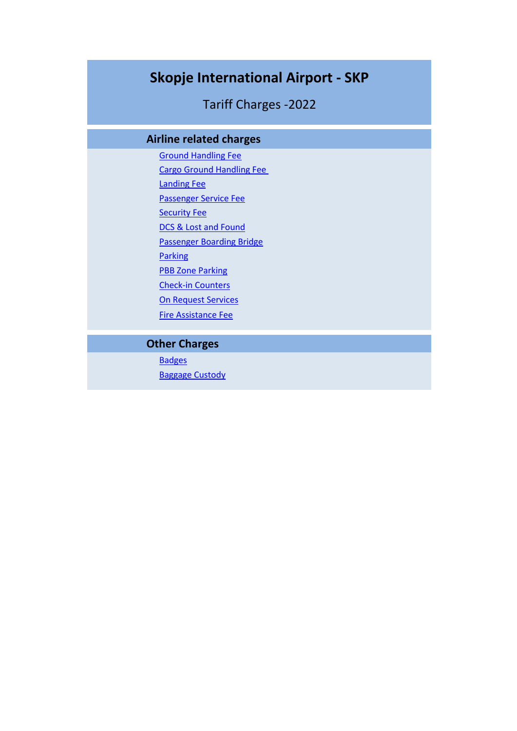# **Skopje International Airport - SKP**

Tariff Charges -2022

## **Airline related charges**

Ground Handling Fee Cargo Ground Handling Fee Landing Fee Passenger Service Fee Security Fee DCS & Lost and Found Passenger Boarding Bridge **Parking PBB Zone Parking** Check-in Counters On Request Services Fire Assistance Fee

## **Other Charges**

**Badges** Baggage Custody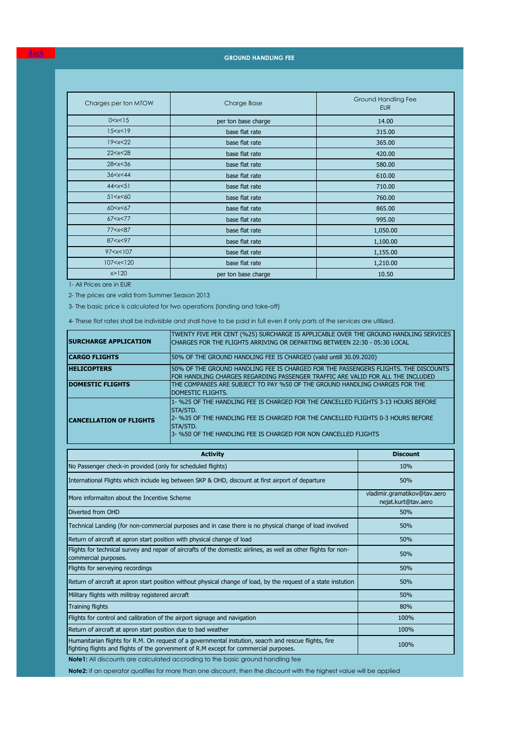**GROUND HANDLING FEE**

| Charges per ton MTOW                                               | Charge Base         | Ground Handling Fee<br><b>EUR</b> |
|--------------------------------------------------------------------|---------------------|-----------------------------------|
| 0 < x < 15                                                         | per ton base charge | 14.00                             |
| 15 < x < 19                                                        | base flat rate      | 315.00                            |
| 19 < x < 22                                                        | base flat rate      | 365.00                            |
| 22 < x < 28                                                        | base flat rate      | 420.00                            |
| 28 < x < 36                                                        | base flat rate      | 580.00                            |
| 36 < x < 44                                                        | base flat rate      | 610.00                            |
| 44 < x < 51                                                        | base flat rate      | 710.00                            |
| 51 < x < 60                                                        | base flat rate      | 760.00                            |
| 60 < x < 67                                                        | base flat rate      | 865.00                            |
| 67 < x < 77                                                        | base flat rate      | 995.00                            |
| 77 < x < 87                                                        | base flat rate      | 1,050.00                          |
| 87 <x<97< td=""><td>base flat rate</td><td>1,100.00</td></x<97<>   | base flat rate      | 1,100.00                          |
| 97 <x<107< td=""><td>base flat rate</td><td>1,155.00</td></x<107<> | base flat rate      | 1,155.00                          |
| 107 < x < 120                                                      | base flat rate      | 1,210.00                          |
| x > 120                                                            | per ton base charge | 10.50                             |

1- All Prices are in EUR

<u>Back</u>

2- The prices are valid from Summer Season 2013

3- The basic price is calculated for two operations (landing and take-off)

4- These flat rates shall be indivisible and shall have to be paid in full even if only parts of the services are utilized.

| <b>SURCHARGE APPLICATION</b>   | TWENTY FIVE PER CENT (%25) SURCHARGE IS APPLICABLE OVER THE GROUND HANDLING SERVICES<br>CHARGES FOR THE FLIGHTS ARRIVING OR DEPARTING BETWEEN 22:30 - 05:30 LOCAL                        |
|--------------------------------|------------------------------------------------------------------------------------------------------------------------------------------------------------------------------------------|
| <b>ICARGO FLIGHTS</b>          | 50% OF THE GROUND HANDLING FEE IS CHARGED (valid untill 30.09.2020)                                                                                                                      |
| <b>HELICOPTERS</b>             | 50% OF THE GROUND HANDLING FEE IS CHARGED FOR THE PASSENGERS FLIGHTS. THE DISCOUNTS<br>FOR HANDLING CHARGES REGARDING PASSENGER TRAFFIC ARE VALID FOR ALL THE INCLUDED                   |
| <b>DOMESTIC FLIGHTS</b>        | THE COMPANIES ARE SUBJECT TO PAY %50 OF THE GROUND HANDLING CHARGES FOR THE<br>DOMESTIC FLIGHTS.                                                                                         |
| <b>CANCELLATION OF FLIGHTS</b> | 1- %25 OF THE HANDLING FEE IS CHARGED FOR THE CANCELLED FLIGHTS 3-13 HOURS BEFORE<br><b>STA/STD.</b><br>2- %35 OF THE HANDLING FEE IS CHARGED FOR THE CANCELLED FLIGHTS 0-3 HOURS BEFORE |
|                                | STA/STD.<br>3- %50 OF THE HANDLING FEE IS CHARGED FOR NON CANCELLED FLIGHTS                                                                                                              |

| <b>Activity</b>                                                                                                                                                                                | <b>Discount</b>                                     |
|------------------------------------------------------------------------------------------------------------------------------------------------------------------------------------------------|-----------------------------------------------------|
| No Passenger check-in provided (only for scheduled flights)                                                                                                                                    | 10%                                                 |
| International Flights which include leg between SKP & OHD, discount at first airport of departure                                                                                              | 50%                                                 |
| More informaiton about the Incentive Scheme                                                                                                                                                    | vladimir.gramatikov@tav.aero<br>nejat.kurt@tav.aero |
| Diverted from OHD                                                                                                                                                                              | 50%                                                 |
| Technical Landing (for non-commercial purposes and in case there is no physical change of load involved                                                                                        | 50%                                                 |
| Return of aircraft at apron start position with physical change of load                                                                                                                        | 50%                                                 |
| Flights for technical survey and repair of aircrafts of the domestic airlines, as well as other flights for non-<br>commercial purposes.                                                       | 50%                                                 |
| Flights for serveying recordings                                                                                                                                                               | 50%                                                 |
| Return of aircraft at apron start position without physical change of load, by the request of a state instution                                                                                | 50%                                                 |
| Military flights with militray registered aircraft                                                                                                                                             | 50%                                                 |
| <b>Training flights</b>                                                                                                                                                                        | 80%                                                 |
| Flights for control and calibration of the airport signage and navigation                                                                                                                      | 100%                                                |
| Return of aircraft at apron start position due to bad weather                                                                                                                                  | 100%                                                |
| Humanitarian flights for R.M. On request of a governmental instution, seacrh and rescue flights, fire<br>fighting flights and flights of the gorvenment of R.M except for commercial purposes. | 100%                                                |
| <b>Note1:</b> All discounts are calculated accroding to the basic ground handling fee                                                                                                          |                                                     |

**Note2:** If an operator qualifies for more than one discount, then the discount with the highest value will be applied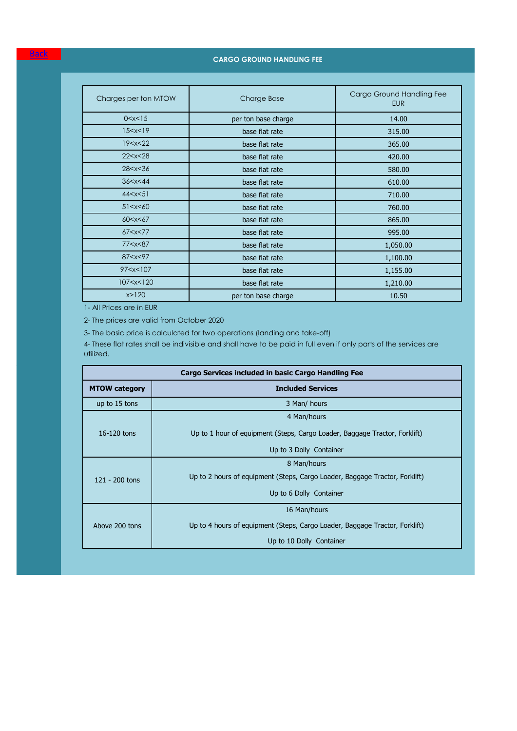### **CARGO GROUND HANDLING FEE**

| Charges per ton MTOW                                                       | <b>Charge Base</b>         | Cargo Ground Handling Fee<br><b>EUR</b> |
|----------------------------------------------------------------------------|----------------------------|-----------------------------------------|
| 0 < x < 15                                                                 | per ton base charge        | 14.00                                   |
| 15 < x < 19                                                                | base flat rate             | 315.00                                  |
| 19 < x < 22                                                                | base flat rate             | 365.00                                  |
| 22 < x < 28                                                                | base flat rate             | 420.00                                  |
| 28 < x < 36                                                                | base flat rate             | 580.00                                  |
| 36 < x < 44                                                                | base flat rate             | 610.00                                  |
| 44 < x < 51                                                                | base flat rate             | 710.00                                  |
| 51 < x < 60                                                                | base flat rate             | 760.00                                  |
| 60 < x < 67                                                                | base flat rate             | 865.00                                  |
| 67 < x < 77                                                                | base flat rate             | 995.00                                  |
| 77 <x<87< td=""><td>base flat rate</td><td>1,050.00</td></x<87<>           | base flat rate             | 1,050.00                                |
| 87 < x < 97                                                                | base flat rate             | 1,100.00                                |
| 97 <x<107< td=""><td colspan="2">base flat rate<br/>1,155.00</td></x<107<> | base flat rate<br>1,155.00 |                                         |
| 107 < x < 120                                                              | base flat rate             | 1,210.00                                |
| x > 120                                                                    | per ton base charge        | 10.50                                   |

1- All Prices are in EUR

2- The prices are valid from October 2020

3- The basic price is calculated for two operations (landing and take-off)

4- These flat rates shall be indivisible and shall have to be paid in full even if only parts of the services are utilized.

| <b>Cargo Services included in basic Cargo Handling Fee</b> |                                                                             |  |
|------------------------------------------------------------|-----------------------------------------------------------------------------|--|
| <b>MTOW category</b>                                       | <b>Included Services</b>                                                    |  |
| up to 15 tons                                              | 3 Man/ hours                                                                |  |
|                                                            | 4 Man/hours                                                                 |  |
| 16-120 tons                                                | Up to 1 hour of equipment (Steps, Cargo Loader, Baggage Tractor, Forklift)  |  |
|                                                            | Up to 3 Dolly Container                                                     |  |
|                                                            | 8 Man/hours                                                                 |  |
| $121 - 200$ tons                                           | Up to 2 hours of equipment (Steps, Cargo Loader, Baggage Tractor, Forklift) |  |
|                                                            | Up to 6 Dolly Container                                                     |  |
| 16 Man/hours                                               |                                                                             |  |
| Above 200 tons                                             | Up to 4 hours of equipment (Steps, Cargo Loader, Baggage Tractor, Forklift) |  |
|                                                            | Up to 10 Dolly Container                                                    |  |

Back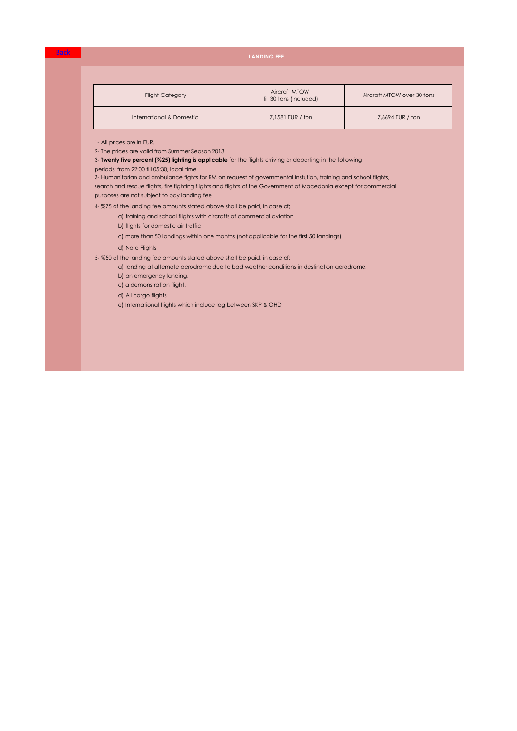### **LANDING FEE**

| <b>Flight Category</b>   | Aircraft MTOW<br>till 30 tons (included) | Aircraft MTOW over 30 tons |
|--------------------------|------------------------------------------|----------------------------|
| International & Domestic | 7,1581 EUR / ton                         | 7,6694 EUR / ton           |

1- All prices are in EUR.

<u>Back</u>

2- The prices are valid from Summer Season 2013

3- **Twenty five percent (%25) lighting is applicable** for the flights arriving or departing in the following

periods: from 22:00 till 05:30, local time

purposes are not subject to pay landing fee 3- Humanitarian and ambulance fights for RM on request of governmental instution, training and school flights, search and rescue flights, fire fighting flights and flights of the Government of Macedonia except for commercial

4- %75 of the landing fee amounts stated above shall be paid, in case of;

- a) training and school flights with aircrafts of commercial aviation
- b) flights for domestic air traffic
- c) more than 50 landings within one months (not applicable for the first 50 landings)

d) Nato Flights

5- %50 of the landing fee amounts stated above shall be paid, in case of;

- a) landing at alternate aerodrome due to bad weather conditions in destination aerodrome,
	- b) an emergency landing,
	- c) a demonstration flight.
	- d) All cargo flights
	- e) International flights which include leg between SKP & OHD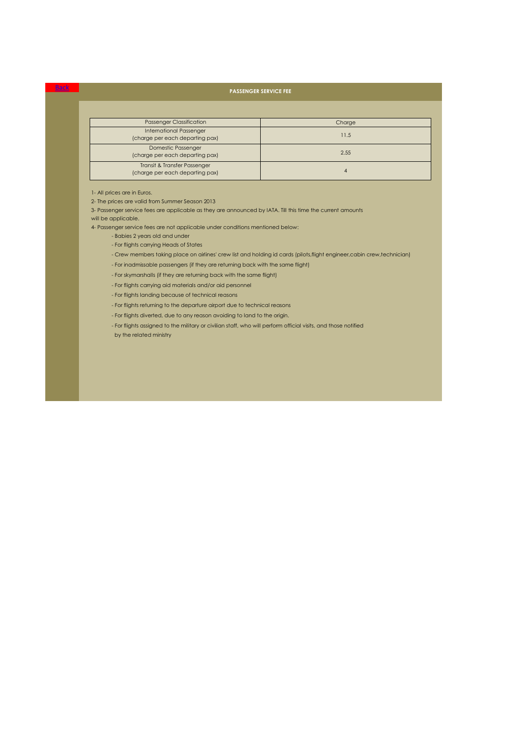### Back **PASSENGER SERVICE FEE**

| <b>Passenger Classification</b>                                   | Charge |
|-------------------------------------------------------------------|--------|
| <b>International Passenger</b><br>(charge per each departing pax) | 11.5   |
| <b>Domestic Passenger</b><br>(charge per each departing pax)      | 2.55   |
| Transit & Transfer Passenger<br>(charge per each departing pax)   |        |

### 1- All prices are in Euros.

2- The prices are valid from Summer Season 2013

3- Passenger service fees are applicable as they are announced by IATA. Till this time the current amounts will be applicable.

4- Passenger service fees are not applicable under conditions mentioned below:

- Babies 2 years old and under
- For flights carrying Heads of States
- Crew members taking place on airlines' crew list and holding id cards (pilots,flight engineer,cabin crew,technician)
- For inadmissable passengers (if they are returning back with the same flight)
- For skymarshalls (if they are returning back with the same flight)
- For flights carrying aid materials and/or aid personnel
- For flights landing because of technical reasons
- For flights returning to the departure airport due to technical reasons
- For flights diverted, due to any reason avoiding to land to the origin.
- For flights assigned to the military or civilian staff, who will perform official visits, and those notified

by the related ministry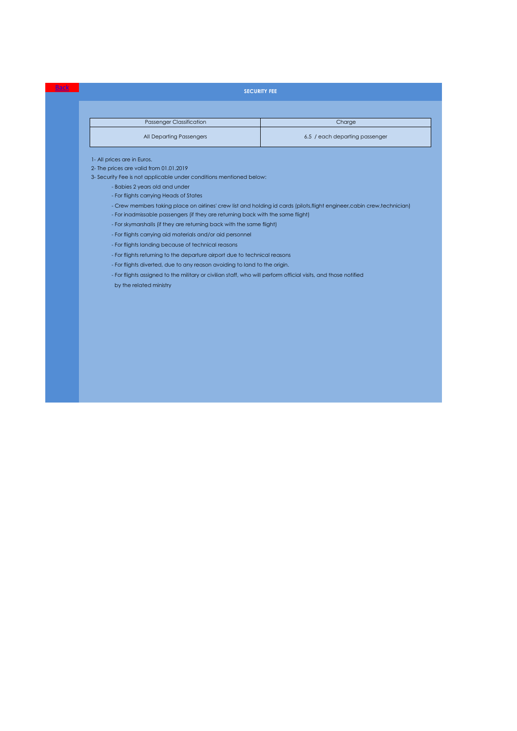### **SECURITY FEE**

| <b>Passenger Classification</b> | Charge                         |
|---------------------------------|--------------------------------|
| All Departing Passengers        | 6.5 / each departing passenger |

1- All prices are in Euros.

<u>Back</u>

2- The prices are valid from 01.01.2019

3- Security Fee is not applicable under conditions mentioned below:

- Babies 2 years old and under
- For flights carrying Heads of States

- Crew members taking place on airlines' crew list and holding id cards (pilots,flight engineer,cabin crew,technician)

- For inadmissable passengers (if they are returning back with the same flight)
- For skymarshalls (if they are returning back with the same flight)
- For flights carrying aid materials and/or aid personnel
- For flights landing because of technical reasons
- For flights returning to the departure airport due to technical reasons
- For flights diverted, due to any reason avoiding to land to the origin.
- For flights assigned to the military or civilian staff, who will perform official visits, and those notified

by the related ministry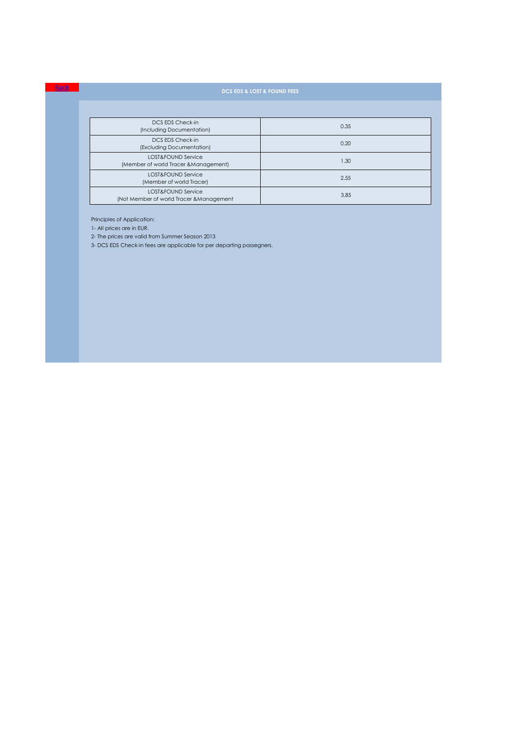| DCS EDS Check-in<br>(Including Documentation)                  | 0.35 |
|----------------------------------------------------------------|------|
| DCS EDS Check-in<br>(Excluding Documentation)                  | 0.20 |
| LOST&FOUND Service<br>(Member of world Tracer & Management)    | 1.30 |
| LOST&FOUND Service<br>(Member of world Tracer)                 | 2.55 |
| LOST&FOUND Service<br>(Not Member of world Tracer & Management | 3.85 |

Principles of Application:

1- All prices are in EUR.

**Back** 

2- The prices are valid from Summer Season 2013

3- DCS EDS Check-in fees are applicable for per departing passegners.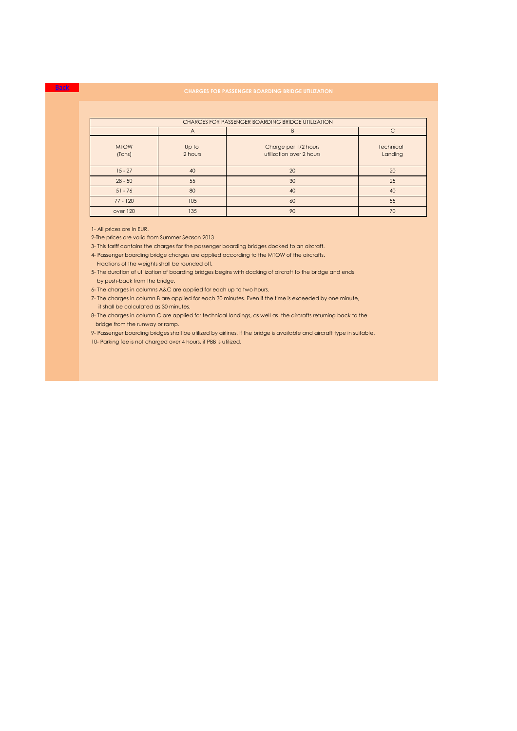| CHARGES FOR PASSENGER BOARDING BRIDGE UTILIZATION |                                |                                                  |                             |  |
|---------------------------------------------------|--------------------------------|--------------------------------------------------|-----------------------------|--|
|                                                   | $\subset$<br><sub>B</sub><br>A |                                                  |                             |  |
| <b>MTOW</b><br>(Tons)                             | Up to<br>2 hours               | Charge per 1/2 hours<br>utilization over 2 hours | <b>Technical</b><br>Landing |  |
| $15 - 27$                                         | 40                             | 20                                               | 20                          |  |
| $28 - 50$                                         | 55                             | 30                                               | 25                          |  |
| $51 - 76$                                         | 80                             | 40                                               | 40                          |  |
| $77 - 120$                                        | 105                            | 60                                               | 55                          |  |
| over 120                                          | 135                            | 90                                               | 70                          |  |

1- All prices are in EUR.

**Back** 

2-The prices are valid from Summer Season 2013

3- This tariff contains the charges for the passenger boarding bridges docked to an aircraft.

4- Passenger boarding bridge charges are applied according to the MTOW of the aircrafts.

Fractions of the weights shall be rounded off.

5- The duration of utilization of boarding bridges begins with docking of aircraft to the bridge and ends by push-back from the bridge.

6- The charges in columns A&C are applied for each up to two hours.

 it shall be calculated as 30 minutes. 7- The charges in column B are applied for each 30 minutes. Even if the time is exceeded by one minute,

8- The charges in column C are applied for technical landings, as well as the aircrafts returning back to the bridge from the runway or ramp.

10- Parking fee is not charged over 4 hours, if PBB is utilized. 9- Passenger boarding bridges shall be utilized by airlines, if the bridge is available and aircraft type in suitable.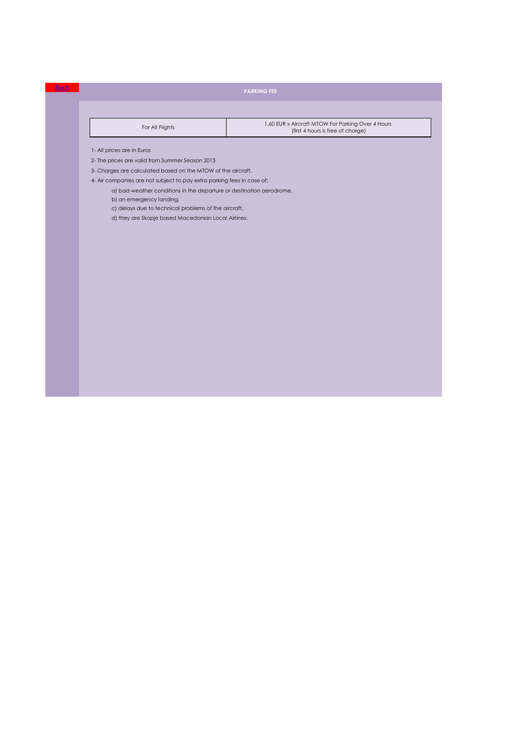| For All Flights | 1,60 EUR x Aircraft MTOW For Parking Over 4 Hours<br>(first 4 hours is free of charge) |
|-----------------|----------------------------------------------------------------------------------------|
|                 |                                                                                        |

1- All prices are in Euros

Back

2- The prices are valid from Summer Season 2013

3- Charges are calculated based on the MTOW of the aircraft.

4- Air companies are not subject to pay extra parking fees in case of;

a) bad weather conditions in the departure or destination aerodrome,

b) an emergency landing,

c) delays due to technical problems of the aircraft.

d) they are Skopje based Macedonian Local Airlines.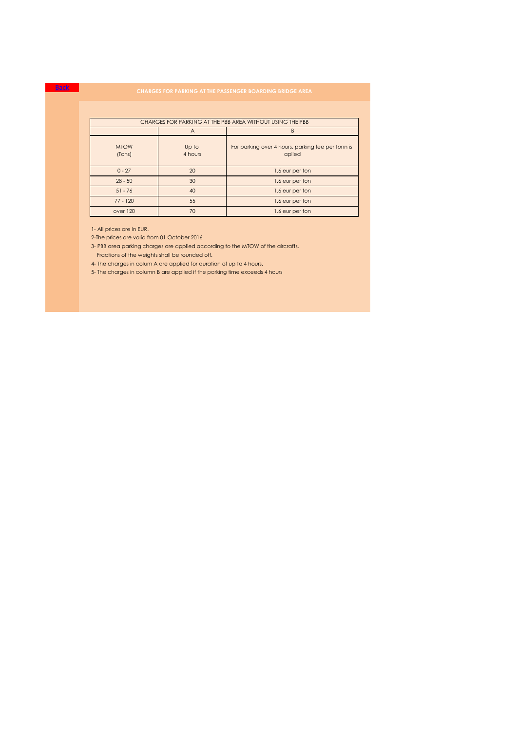| CHARGES FOR PARKING AT THE PBB AREA WITHOUT USING THE PBB |                  |                                                             |  |
|-----------------------------------------------------------|------------------|-------------------------------------------------------------|--|
|                                                           | A                | R                                                           |  |
| <b>MTOW</b><br>(Tons)                                     | Up to<br>4 hours | For parking over 4 hours, parking fee per tonn is<br>aplied |  |
| $0 - 27$                                                  | 20               | 1.6 eur per ton                                             |  |
| $28 - 50$                                                 | 30               | 1.6 eur per ton                                             |  |
| $51 - 76$                                                 | 40               | 1.6 eur per ton                                             |  |
| $77 - 120$                                                | 55               | 1.6 eur per ton                                             |  |
| over 120                                                  | 70               | 1.6 eur per ton                                             |  |

1- All prices are in EUR.

Back

2-The prices are valid from 01 October 2016

3- PBB area parking charges are applied according to the MTOW of the aircrafts. Fractions of the weights shall be rounded off.

4- The charges in colum A are applied for duration of up to 4 hours.

5- The charges in column B are applied if the parking time exceeds 4 hours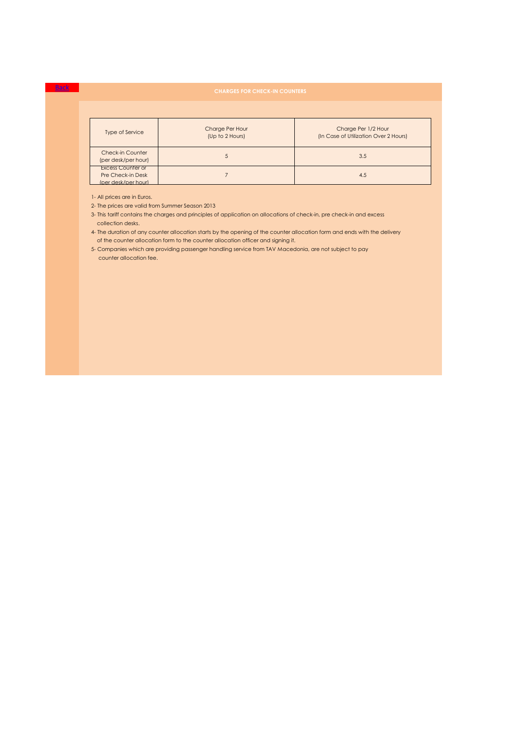| <b>Type of Service</b>                                                      | Charge Per Hour<br>(Up to 2 Hours) | Charge Per 1/2 Hour<br>(In Case of Utilization Over 2 Hours) |
|-----------------------------------------------------------------------------|------------------------------------|--------------------------------------------------------------|
| <b>Check-in Counter</b><br>(per desk/per hour)                              | s.                                 | 3.5                                                          |
| <b>Excess Counter or</b><br><b>Pre Check-in Desk</b><br>(per desk/per hour) |                                    | 4.5                                                          |

1- All prices are in Euros.

**Back** 

2- The prices are valid from Summer Season 2013

3- This tariff contains the charges and principles of application on allocations of check-in, pre check-in and excess collection desks.

4- The duration of any counter allocation starts by the opening of the counter allocation form and ends with the delivery of the counter allocation form to the counter allocation officer and signing it.

 counter allocation fee. 5- Companies which are providing passenger handling service from TAV Macedonia, are not subject to pay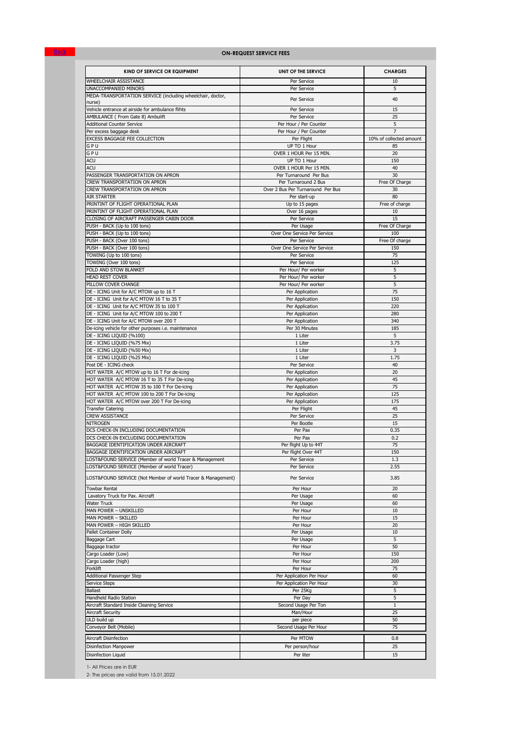### **ON-REQUEST SERVICE FEES**

| KIND OF SERVICE OR EQUIPMENT                                                                           | UNIT OF THE SERVICE                          | <b>CHARGES</b>          |
|--------------------------------------------------------------------------------------------------------|----------------------------------------------|-------------------------|
| WHEELCHAIR ASSISTANCE                                                                                  | Per Service                                  | 10                      |
| UNACCOMPANIED MINORS                                                                                   | Per Service                                  | 5                       |
| MEDA-TRANSPORTATION SERVICE (including wheelchair, doctor,<br>nurse)                                   | Per Service                                  | 40                      |
| Vehicle entrance at airside for ambulance flihts                                                       | Per Service                                  | 15                      |
| AMBULANCE ( From Gate 8) Ambulift                                                                      | Per Service                                  | 25                      |
| <b>Additional Counter Service</b>                                                                      | Per Hour / Per Counter                       | 5                       |
| Per excess baggage desk                                                                                | Per Hour / Per Counter                       | $\overline{7}$          |
| EXCESS BAGGAGE FEE COLLECTION                                                                          | Per Flight                                   | 10% of collected amount |
| GPU<br>GPU                                                                                             | UP TO 1 Hour<br>OVER 1 HOUR Per 15 MIN.      | 85<br>20                |
| ACU                                                                                                    | UP TO 1 Hour                                 | 150                     |
| ACU                                                                                                    | OVER 1 HOUR Per 15 MIN.                      | 40                      |
| PASSENGER TRANSPORTATION ON APRON                                                                      | Per Turnaround Per Bus                       | 30                      |
| <b>CREW TRANSPORTATION ON APRON</b>                                                                    | Per Turnaround 2 Bus                         | Free Of Charge          |
| CREW TRANSPORTATION ON APRON                                                                           | Over 2 Bus Per Turnaround Per Bus            | 30                      |
| <b>AIR STARTER</b>                                                                                     | Per start-up                                 | 80                      |
| PRINTINT OF FLIGHT OPERATIONAL PLAN<br>PRINTINT OF FLIGHT OPERATIONAL PLAN                             | Up to 15 pages<br>Over 16 pages              | Free of charge<br>10    |
| CLOSING OF AIRCRAFT PASSENGER CABIN DOOR                                                               | Per Service                                  | 15                      |
| PUSH - BACK (Up to 100 tons)                                                                           | Per Usage                                    | Free Of Charge          |
| PUSH - BACK (Up to 100 tons)                                                                           | Over One Service Per Service                 | 100                     |
| PUSH - BACK (Over 100 tons)                                                                            | Per Service                                  | Free Of charge          |
| PUSH - BACK (Over 100 tons)                                                                            | Over One Service Per Service                 | 150                     |
| TOWING (Up to 100 tons)                                                                                | Per Service                                  | 75                      |
| TOWING (Over 100 tons)                                                                                 | Per Service                                  | 125                     |
| FOLD AND STOW BLANKET<br><b>HEAD REST COVER</b>                                                        | Per Hour/ Per worker<br>Per Hour/ Per worker | 5<br>5                  |
| PILLOW COVER CHANGE                                                                                    | Per Hour/ Per worker                         | 5                       |
| DE - ICING Unit for A/C MTOW up to 16 T                                                                | Per Application                              | 75                      |
| DE - ICING Unit for A/C MTOW 16 T to 35 T                                                              | Per Application                              | 150                     |
| DE - ICING Unit for A/C MTOW 35 to 100 T                                                               | Per Application                              | 220                     |
| DE - ICING Unit for A/C MTOW 100 to 200 T                                                              | Per Application                              | 280                     |
| DE - ICING Unit for A/C MTOW over 200 T                                                                | Per Application                              | 340                     |
| De-icing vehicle for other purposes i.e. maintenance<br>DE - ICING LIQUID (%100)                       | Per 30 Minutes<br>1 Liter                    | 185<br>5                |
| DE - ICING LIQUID (%75 Mix)                                                                            | 1 Liter                                      | 3.75                    |
| DE - ICING LIQUID (%50 Mix)                                                                            | 1 Liter                                      | 3                       |
| DE - ICING LIQUID (%25 Mix)                                                                            | 1 Liter                                      | 1.75                    |
| Post DE - ICING check                                                                                  | Per Service                                  | 40                      |
| HOT WATER A/C MTOW up to 16 T For de-icing                                                             | Per Application                              | 20                      |
| HOT WATER A/C MTOW 16 T to 35 T For De-icing                                                           | Per Application                              | 45                      |
| HOT WATER A/C MTOW 35 to 100 T For De-icing                                                            | Per Application                              | 75                      |
| HOT WATER A/C MTOW 100 to 200 T For De-icing<br>HOT WATER A/C MTOW over 200 T For De-icing             | Per Application<br>Per Application           | 125<br>175              |
| <b>Transfer Catering</b>                                                                               | Per Flight                                   | 45                      |
| <b>CREW ASSISTANCE</b>                                                                                 | Per Service                                  | 25                      |
| <b>NITROGEN</b>                                                                                        | Per Bootle                                   | 15                      |
| DCS CHECK-IN INCLUDING DOCUMENTATION                                                                   | Per Pax                                      | 0.35                    |
| DCS CHECK-IN EXCLUDING DOCUMENTATION                                                                   | Per Pax                                      | 0.2                     |
| BAGGAGE IDENTIFICATION UNDER AIRCRAFT                                                                  | Per flight Up to 44T                         | 75                      |
| BAGGAGE IDENTIFICATION UNDER AIRCRAFT                                                                  | Per flight Over 44T                          | 150                     |
| LOST&FOUND SERVICE (Member of world Tracer & Management<br>LOST&FOUND SERVICE (Member of world Tracer) | Per Service                                  | 1.3<br>2.55             |
|                                                                                                        | Per Service                                  |                         |
| LOST&FOUND SERVICE (Not Member of world Tracer & Management)                                           | Per Service                                  | 3.85                    |
| <b>Towbar Rental</b>                                                                                   | Per Hour                                     | 20                      |
| Lavatory Truck for Pax. Aircraft                                                                       | Per Usage                                    | 60                      |
| <b>Water Truck</b>                                                                                     | Per Usage                                    | 60                      |
| MAN POWER - UNSKILLED                                                                                  | Per Hour                                     | 10                      |
| MAN POWER - SKILLED<br>MAN POWER - HIGH SKILLED                                                        | Per Hour                                     | 15<br>20                |
| Pallet Container Dolly                                                                                 | Per Hour<br>Per Usage                        | 10                      |
| Baggage Cart                                                                                           | Per Usage                                    | 5                       |
| Baggage tractor                                                                                        | Per Hour                                     | 50                      |
| Cargo Loader (Low)                                                                                     | Per Hour                                     | 150                     |
| Cargo Loader (high)                                                                                    | Per Hour                                     | 200                     |
| Forklift                                                                                               | Per Hour                                     | 75                      |
| Additional Passenger Step                                                                              | Per Application Per Hour                     | 60                      |
| Service Steps                                                                                          | Per Application Per Hour                     | 30                      |
| <b>Ballast</b>                                                                                         | Per 25Kg<br>Per Day                          | 5<br>5                  |
| Handheld Radio Station<br>Aircraft Standard Inside Cleaning Service                                    | Second Usage Per Ton                         | $\mathbf{1}$            |
| Aircraft Security                                                                                      | Man/Hour                                     | 25                      |
| ULD build up                                                                                           | per piece                                    | 50                      |
| Conveyor Belt (Mobile)                                                                                 | Second Usage Per Hour                        | 75                      |
| Aircraft Disinfection                                                                                  | Per MTOW                                     | 0.8                     |
| Disinfection Manpower                                                                                  | Per person/hour                              | 25                      |
| Disinfection Liquid                                                                                    | Per liter                                    | 15                      |
|                                                                                                        |                                              |                         |

1- All Prices are in EUR

**Back** 

2- The prices are valid from 15.01.2022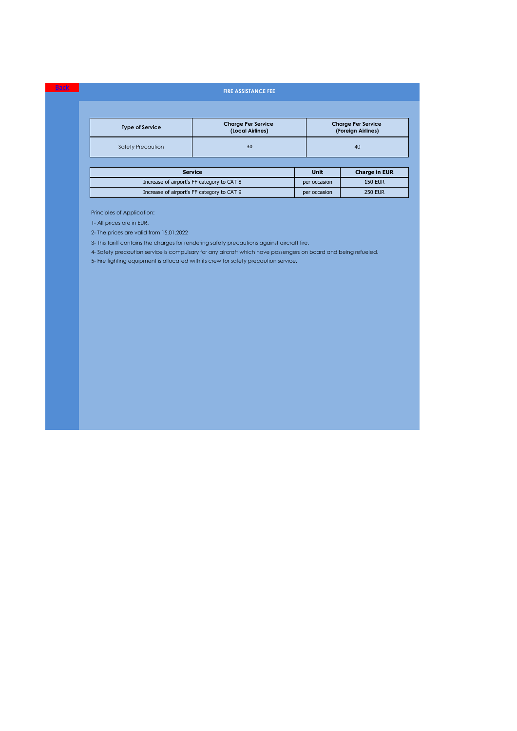### **FIRE ASSISTANCE FEE**

| <b>Type of Service</b> | <b>Charge Per Service</b><br>(Local Airlines) | <b>Charge Per Service</b><br>(Foreign Airlines) |
|------------------------|-----------------------------------------------|-------------------------------------------------|
| Safety Precaution      | 30                                            | 40                                              |

| <b>Service</b>                             | Unit         | <b>Charge in EUR</b> |
|--------------------------------------------|--------------|----------------------|
| Increase of airport's FF category to CAT 8 | per occasion | <b>150 EUR</b>       |
| Increase of airport's FF category to CAT 9 | per occasion | <b>250 EUR</b>       |

Principles of Application:

1- All prices are in EUR.

Back

2- The prices are valid from 15.01.2022

3- This tariff contains the charges for rendering safety precautions against aircraft fire.

4- Safety precaution service is compulsary for any aircraft which have passengers on board and being refueled.

5- Fire fighting equipment is allocated with its crew for safety precaution service.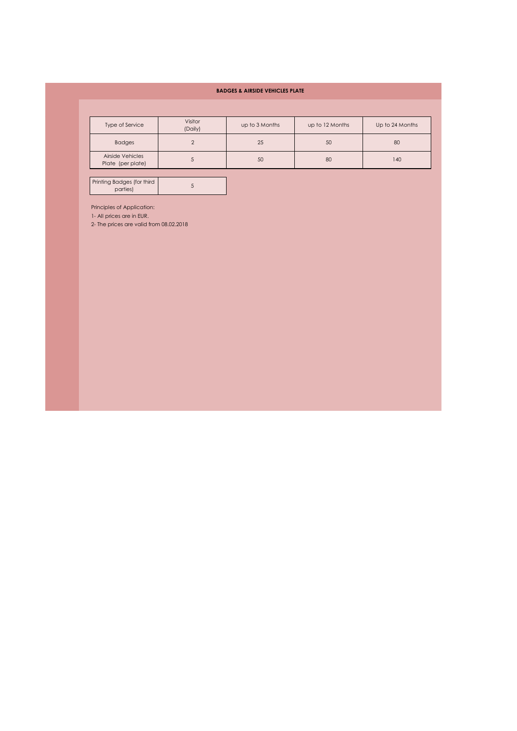### **BADGES & AIRSIDE VEHICLES PLATE**

| <b>Type of Service</b>                | Visitor<br>(Daily) | up to 3 Months | up to 12 Months | Up to 24 Months |
|---------------------------------------|--------------------|----------------|-----------------|-----------------|
| <b>Badges</b>                         |                    | 25             | 50              | 80              |
| Airside Vehicles<br>Plate (per plate) |                    | 50             | 80              | 140             |

Printing Badges (for third parties) <sup>5</sup>

Principles of Application:

1- All prices are in EUR.

2- The prices are valid from 08.02.2018